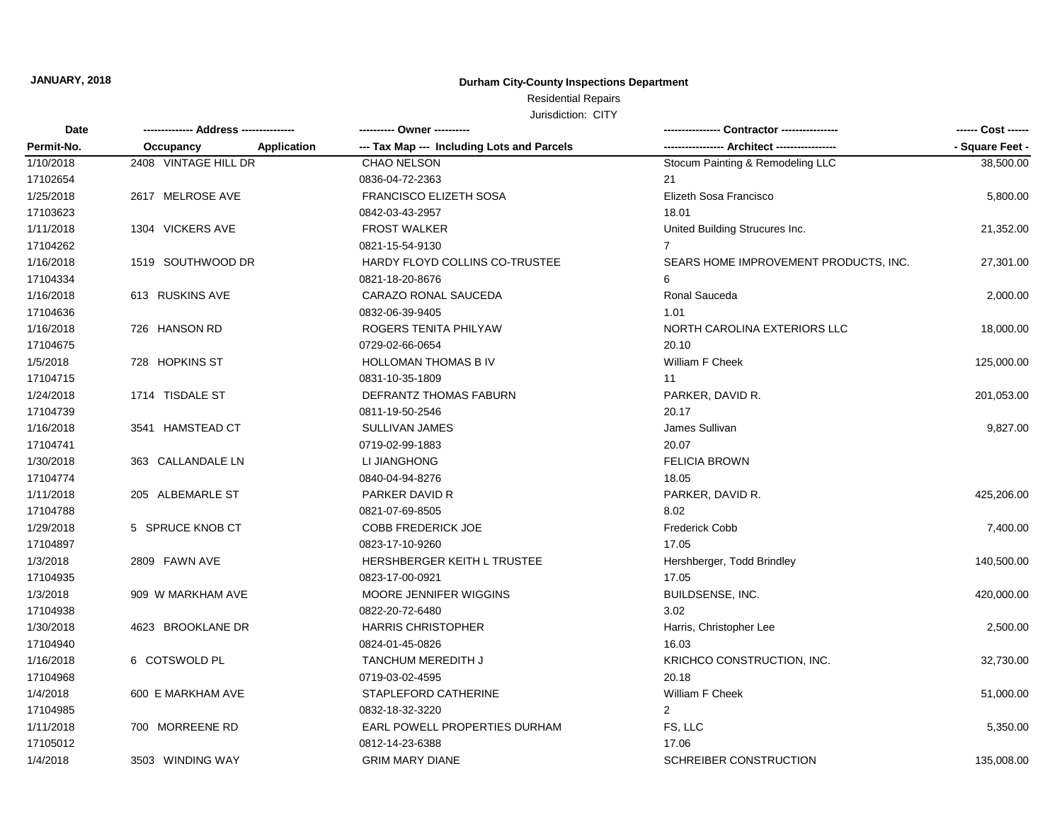## **Durham City-County Inspections Department**

Residential Repairs

| <b>Date</b> | ------------- Address -------------- | ---------- Owner ----------                |                                       | ------ Cost ------ |
|-------------|--------------------------------------|--------------------------------------------|---------------------------------------|--------------------|
| Permit-No.  | Occupancy<br><b>Application</b>      | --- Tax Map --- Including Lots and Parcels | - Architect ---------                 | - Square Feet -    |
| 1/10/2018   | 2408 VINTAGE HILL DR                 | CHAO NELSON                                | Stocum Painting & Remodeling LLC      | 38,500.00          |
| 17102654    |                                      | 0836-04-72-2363                            | 21                                    |                    |
| 1/25/2018   | 2617 MELROSE AVE                     | <b>FRANCISCO ELIZETH SOSA</b>              | Elizeth Sosa Francisco                | 5,800.00           |
| 17103623    |                                      | 0842-03-43-2957                            | 18.01                                 |                    |
| 1/11/2018   | 1304 VICKERS AVE                     | <b>FROST WALKER</b>                        | United Building Strucures Inc.        | 21,352.00          |
| 17104262    |                                      | 0821-15-54-9130                            | 7                                     |                    |
| 1/16/2018   | 1519 SOUTHWOOD DR                    | HARDY FLOYD COLLINS CO-TRUSTEE             | SEARS HOME IMPROVEMENT PRODUCTS, INC. | 27,301.00          |
| 17104334    |                                      | 0821-18-20-8676                            | 6                                     |                    |
| 1/16/2018   | 613 RUSKINS AVE                      | CARAZO RONAL SAUCEDA                       | Ronal Sauceda                         | 2,000.00           |
| 17104636    |                                      | 0832-06-39-9405                            | 1.01                                  |                    |
| 1/16/2018   | 726 HANSON RD                        | ROGERS TENITA PHILYAW                      | NORTH CAROLINA EXTERIORS LLC          | 18,000.00          |
| 17104675    |                                      | 0729-02-66-0654                            | 20.10                                 |                    |
| 1/5/2018    | 728 HOPKINS ST                       | <b>HOLLOMAN THOMAS B IV</b>                | William F Cheek                       | 125,000.00         |
| 17104715    |                                      | 0831-10-35-1809                            | 11                                    |                    |
| 1/24/2018   | 1714 TISDALE ST                      | DEFRANTZ THOMAS FABURN                     | PARKER, DAVID R.                      | 201,053.00         |
| 17104739    |                                      | 0811-19-50-2546                            | 20.17                                 |                    |
| 1/16/2018   | 3541 HAMSTEAD CT                     | <b>SULLIVAN JAMES</b>                      | James Sullivan                        | 9,827.00           |
| 17104741    |                                      | 0719-02-99-1883                            | 20.07                                 |                    |
| 1/30/2018   | 363 CALLANDALE LN                    | LI JIANGHONG                               | <b>FELICIA BROWN</b>                  |                    |
| 17104774    |                                      | 0840-04-94-8276                            | 18.05                                 |                    |
| 1/11/2018   | 205 ALBEMARLE ST                     | PARKER DAVID R                             | PARKER, DAVID R.                      | 425,206.00         |
| 17104788    |                                      | 0821-07-69-8505                            | 8.02                                  |                    |
| 1/29/2018   | 5 SPRUCE KNOB CT                     | <b>COBB FREDERICK JOE</b>                  | <b>Frederick Cobb</b>                 | 7,400.00           |
| 17104897    |                                      | 0823-17-10-9260                            | 17.05                                 |                    |
| 1/3/2018    | 2809 FAWN AVE                        | HERSHBERGER KEITH L TRUSTEE                | Hershberger, Todd Brindley            | 140,500.00         |
| 17104935    |                                      | 0823-17-00-0921                            | 17.05                                 |                    |
| 1/3/2018    | 909 W MARKHAM AVE                    | MOORE JENNIFER WIGGINS                     | BUILDSENSE, INC.                      | 420,000.00         |
| 17104938    |                                      | 0822-20-72-6480                            | 3.02                                  |                    |
| 1/30/2018   | 4623 BROOKLANE DR                    | <b>HARRIS CHRISTOPHER</b>                  | Harris, Christopher Lee               | 2,500.00           |
| 17104940    |                                      | 0824-01-45-0826                            | 16.03                                 |                    |
| 1/16/2018   | 6 COTSWOLD PL                        | <b>TANCHUM MEREDITH J</b>                  | KRICHCO CONSTRUCTION, INC.            | 32,730.00          |
| 17104968    |                                      | 0719-03-02-4595                            | 20.18                                 |                    |
| 1/4/2018    | 600 E MARKHAM AVE                    | STAPLEFORD CATHERINE                       | William F Cheek                       | 51,000.00          |
| 17104985    |                                      | 0832-18-32-3220                            | $\mathfrak{p}$                        |                    |
| 1/11/2018   | 700 MORREENE RD                      | EARL POWELL PROPERTIES DURHAM              | FS, LLC                               | 5,350.00           |
| 17105012    |                                      | 0812-14-23-6388                            | 17.06                                 |                    |
| 1/4/2018    | 3503 WINDING WAY                     | <b>GRIM MARY DIANE</b>                     | SCHREIBER CONSTRUCTION                | 135,008.00         |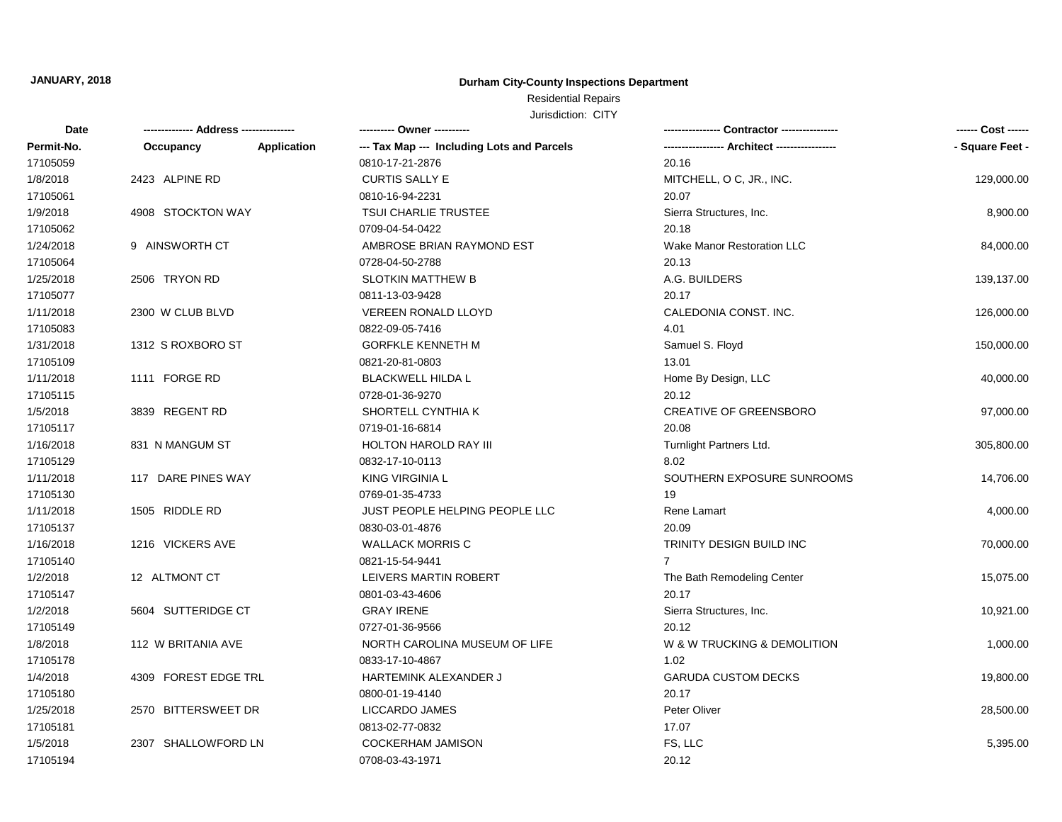## **Durham City-County Inspections Department**

# Residential Repairs

| Date       | -------------- Address --------------- |             | ---------- Owner ----------                | <b>Contractor ----------------</b><br>----------------- | ------ Cost ------ |
|------------|----------------------------------------|-------------|--------------------------------------------|---------------------------------------------------------|--------------------|
| Permit-No. | Occupancy                              | Application | --- Tax Map --- Including Lots and Parcels | -- Architect -----------------                          | - Square Feet -    |
| 17105059   |                                        |             | 0810-17-21-2876                            | 20.16                                                   |                    |
| 1/8/2018   | 2423 ALPINE RD                         |             | CURTIS SALLY E                             | MITCHELL, O C, JR., INC.                                | 129,000.00         |
| 17105061   |                                        |             | 0810-16-94-2231                            | 20.07                                                   |                    |
| 1/9/2018   | 4908 STOCKTON WAY                      |             | <b>TSUI CHARLIE TRUSTEE</b>                | Sierra Structures, Inc.                                 | 8,900.00           |
| 17105062   |                                        |             | 0709-04-54-0422                            | 20.18                                                   |                    |
| 1/24/2018  | 9 AINSWORTH CT                         |             | AMBROSE BRIAN RAYMOND EST                  | Wake Manor Restoration LLC                              | 84,000.00          |
| 17105064   |                                        |             | 0728-04-50-2788                            | 20.13                                                   |                    |
| 1/25/2018  | 2506 TRYON RD                          |             | <b>SLOTKIN MATTHEW B</b>                   | A.G. BUILDERS                                           | 139,137.00         |
| 17105077   |                                        |             | 0811-13-03-9428                            | 20.17                                                   |                    |
| 1/11/2018  | 2300 W CLUB BLVD                       |             | <b>VEREEN RONALD LLOYD</b>                 | CALEDONIA CONST. INC.                                   | 126,000.00         |
| 17105083   |                                        |             | 0822-09-05-7416                            | 4.01                                                    |                    |
| 1/31/2018  | 1312 S ROXBORO ST                      |             | <b>GORFKLE KENNETH M</b>                   | Samuel S. Floyd                                         | 150,000.00         |
| 17105109   |                                        |             | 0821-20-81-0803                            | 13.01                                                   |                    |
| 1/11/2018  | 1111 FORGE RD                          |             | <b>BLACKWELL HILDA L</b>                   | Home By Design, LLC                                     | 40,000.00          |
| 17105115   |                                        |             | 0728-01-36-9270                            | 20.12                                                   |                    |
| 1/5/2018   | 3839 REGENT RD                         |             | SHORTELL CYNTHIA K                         | <b>CREATIVE OF GREENSBORO</b>                           | 97,000.00          |
| 17105117   |                                        |             | 0719-01-16-6814                            | 20.08                                                   |                    |
| 1/16/2018  | 831 N MANGUM ST                        |             | <b>HOLTON HAROLD RAY III</b>               | Turnlight Partners Ltd.                                 | 305,800.00         |
| 17105129   |                                        |             | 0832-17-10-0113                            | 8.02                                                    |                    |
| 1/11/2018  | 117 DARE PINES WAY                     |             | <b>KING VIRGINIA L</b>                     | SOUTHERN EXPOSURE SUNROOMS                              | 14,706.00          |
| 17105130   |                                        |             | 0769-01-35-4733                            | 19                                                      |                    |
| 1/11/2018  | 1505 RIDDLE RD                         |             | JUST PEOPLE HELPING PEOPLE LLC             | Rene Lamart                                             | 4,000.00           |
| 17105137   |                                        |             | 0830-03-01-4876                            | 20.09                                                   |                    |
| 1/16/2018  | 1216 VICKERS AVE                       |             | <b>WALLACK MORRIS C</b>                    | TRINITY DESIGN BUILD INC                                | 70,000.00          |
| 17105140   |                                        |             | 0821-15-54-9441                            | $\overline{7}$                                          |                    |
| 1/2/2018   | 12 ALTMONT CT                          |             | LEIVERS MARTIN ROBERT                      | The Bath Remodeling Center                              | 15,075.00          |
| 17105147   |                                        |             | 0801-03-43-4606                            | 20.17                                                   |                    |
| 1/2/2018   | 5604 SUTTERIDGE CT                     |             | <b>GRAY IRENE</b>                          | Sierra Structures, Inc.                                 | 10,921.00          |
| 17105149   |                                        |             | 0727-01-36-9566                            | 20.12                                                   |                    |
| 1/8/2018   | 112 W BRITANIA AVE                     |             | NORTH CAROLINA MUSEUM OF LIFE              | W & W TRUCKING & DEMOLITION                             | 1,000.00           |
| 17105178   |                                        |             | 0833-17-10-4867                            | 1.02                                                    |                    |
| 1/4/2018   | 4309 FOREST EDGE TRL                   |             | HARTEMINK ALEXANDER J                      | <b>GARUDA CUSTOM DECKS</b>                              | 19,800.00          |
| 17105180   |                                        |             | 0800-01-19-4140                            | 20.17                                                   |                    |
| 1/25/2018  | 2570 BITTERSWEET DR                    |             | LICCARDO JAMES                             | Peter Oliver                                            | 28,500.00          |
| 17105181   |                                        |             | 0813-02-77-0832                            | 17.07                                                   |                    |
| 1/5/2018   | 2307 SHALLOWFORD LN                    |             | <b>COCKERHAM JAMISON</b>                   | FS, LLC                                                 | 5,395.00           |
| 17105194   |                                        |             | 0708-03-43-1971                            | 20.12                                                   |                    |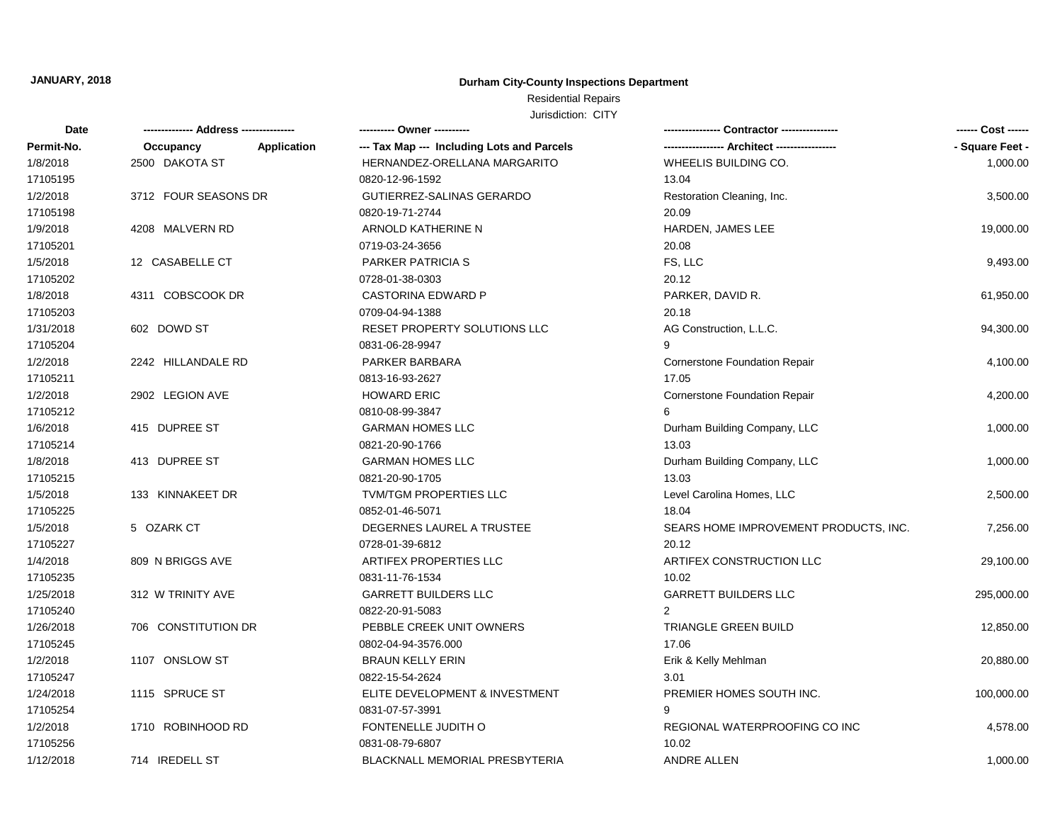## **Durham City-County Inspections Department**

## Residential Repairs

| Date       |                      |             | ---------- Owner ----------                |                                       | ------ Cost ------ |
|------------|----------------------|-------------|--------------------------------------------|---------------------------------------|--------------------|
| Permit-No. | Occupancy            | Application | --- Tax Map --- Including Lots and Parcels | ---------------- Architect ---------- | - Square Feet -    |
| 1/8/2018   | 2500 DAKOTA ST       |             | HERNANDEZ-ORELLANA MARGARITO               | WHEELIS BUILDING CO.                  | 1,000.00           |
| 17105195   |                      |             | 0820-12-96-1592                            | 13.04                                 |                    |
| 1/2/2018   | 3712 FOUR SEASONS DR |             | GUTIERREZ-SALINAS GERARDO                  | Restoration Cleaning, Inc.            | 3,500.00           |
| 17105198   |                      |             | 0820-19-71-2744                            | 20.09                                 |                    |
| 1/9/2018   | 4208 MALVERN RD      |             | ARNOLD KATHERINE N                         | HARDEN, JAMES LEE                     | 19,000.00          |
| 17105201   |                      |             | 0719-03-24-3656                            | 20.08                                 |                    |
| 1/5/2018   | 12 CASABELLE CT      |             | <b>PARKER PATRICIA S</b>                   | FS, LLC                               | 9,493.00           |
| 17105202   |                      |             | 0728-01-38-0303                            | 20.12                                 |                    |
| 1/8/2018   | 4311 COBSCOOK DR     |             | <b>CASTORINA EDWARD P</b>                  | PARKER, DAVID R.                      | 61,950.00          |
| 17105203   |                      |             | 0709-04-94-1388                            | 20.18                                 |                    |
| 1/31/2018  | 602 DOWD ST          |             | RESET PROPERTY SOLUTIONS LLC               | AG Construction, L.L.C.               | 94,300.00          |
| 17105204   |                      |             | 0831-06-28-9947                            | 9                                     |                    |
| 1/2/2018   | 2242 HILLANDALE RD   |             | PARKER BARBARA                             | <b>Cornerstone Foundation Repair</b>  | 4,100.00           |
| 17105211   |                      |             | 0813-16-93-2627                            | 17.05                                 |                    |
| 1/2/2018   | 2902 LEGION AVE      |             | <b>HOWARD ERIC</b>                         | <b>Cornerstone Foundation Repair</b>  | 4,200.00           |
| 17105212   |                      |             | 0810-08-99-3847                            |                                       |                    |
| 1/6/2018   | 415 DUPREE ST        |             | <b>GARMAN HOMES LLC</b>                    | Durham Building Company, LLC          | 1,000.00           |
| 17105214   |                      |             | 0821-20-90-1766                            | 13.03                                 |                    |
| 1/8/2018   | 413 DUPREE ST        |             | <b>GARMAN HOMES LLC</b>                    | Durham Building Company, LLC          | 1,000.00           |
| 17105215   |                      |             | 0821-20-90-1705                            | 13.03                                 |                    |
| 1/5/2018   | 133 KINNAKEET DR     |             | TVM/TGM PROPERTIES LLC                     | Level Carolina Homes, LLC             | 2,500.00           |
| 17105225   |                      |             | 0852-01-46-5071                            | 18.04                                 |                    |
| 1/5/2018   | 5 OZARK CT           |             | DEGERNES LAUREL A TRUSTEE                  | SEARS HOME IMPROVEMENT PRODUCTS, INC. | 7,256.00           |
| 17105227   |                      |             | 0728-01-39-6812                            | 20.12                                 |                    |
| 1/4/2018   | 809 N BRIGGS AVE     |             | ARTIFEX PROPERTIES LLC                     | ARTIFEX CONSTRUCTION LLC              | 29,100.00          |
| 17105235   |                      |             | 0831-11-76-1534                            | 10.02                                 |                    |
| 1/25/2018  | 312 W TRINITY AVE    |             | <b>GARRETT BUILDERS LLC</b>                | <b>GARRETT BUILDERS LLC</b>           | 295,000.00         |
| 17105240   |                      |             | 0822-20-91-5083                            | $\overline{2}$                        |                    |
| 1/26/2018  | 706 CONSTITUTION DR  |             | PEBBLE CREEK UNIT OWNERS                   | TRIANGLE GREEN BUILD                  | 12,850.00          |
| 17105245   |                      |             | 0802-04-94-3576.000                        | 17.06                                 |                    |
| 1/2/2018   | 1107 ONSLOW ST       |             | <b>BRAUN KELLY ERIN</b>                    | Erik & Kelly Mehlman                  | 20,880.00          |
| 17105247   |                      |             | 0822-15-54-2624                            | 3.01                                  |                    |
| 1/24/2018  | 1115 SPRUCE ST       |             | ELITE DEVELOPMENT & INVESTMENT             | PREMIER HOMES SOUTH INC.              | 100,000.00         |
| 17105254   |                      |             | 0831-07-57-3991                            |                                       |                    |
| 1/2/2018   | 1710 ROBINHOOD RD    |             | FONTENELLE JUDITH O                        | REGIONAL WATERPROOFING CO INC         | 4,578.00           |
| 17105256   |                      |             | 0831-08-79-6807                            | 10.02                                 |                    |
| 1/12/2018  | 714 IREDELL ST       |             | <b>BLACKNALL MEMORIAL PRESBYTERIA</b>      | <b>ANDRE ALLEN</b>                    | 1,000.00           |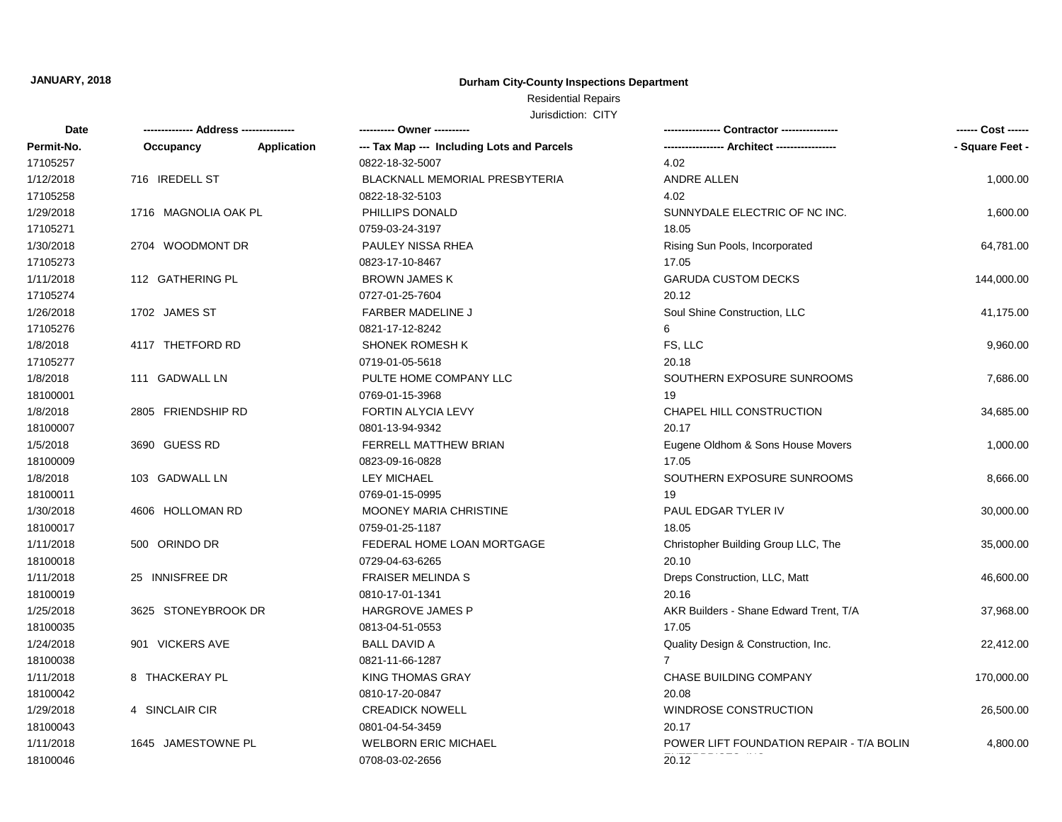## **Durham City-County Inspections Department**

# Residential Repairs

| <b>Date</b> |                      |                    | ---------- Owner ----------                |                                          | ------ Cost ------ |
|-------------|----------------------|--------------------|--------------------------------------------|------------------------------------------|--------------------|
| Permit-No.  | Occupancy            | <b>Application</b> | --- Tax Map --- Including Lots and Parcels | -- Architect -------                     | - Square Feet -    |
| 17105257    |                      |                    | 0822-18-32-5007                            | 4.02                                     |                    |
| 1/12/2018   | 716 IREDELL ST       |                    | BLACKNALL MEMORIAL PRESBYTERIA             | ANDRE ALLEN                              | 1,000.00           |
| 17105258    |                      |                    | 0822-18-32-5103                            | 4.02                                     |                    |
| 1/29/2018   | 1716 MAGNOLIA OAK PL |                    | PHILLIPS DONALD                            | SUNNYDALE ELECTRIC OF NC INC.            | 1,600.00           |
| 17105271    |                      |                    | 0759-03-24-3197                            | 18.05                                    |                    |
| 1/30/2018   | 2704 WOODMONT DR     |                    | PAULEY NISSA RHEA                          | Rising Sun Pools, Incorporated           | 64,781.00          |
| 17105273    |                      |                    | 0823-17-10-8467                            | 17.05                                    |                    |
| 1/11/2018   | 112 GATHERING PL     |                    | <b>BROWN JAMES K</b>                       | <b>GARUDA CUSTOM DECKS</b>               | 144,000.00         |
| 17105274    |                      |                    | 0727-01-25-7604                            | 20.12                                    |                    |
| 1/26/2018   | 1702 JAMES ST        |                    | <b>FARBER MADELINE J</b>                   | Soul Shine Construction, LLC             | 41,175.00          |
| 17105276    |                      |                    | 0821-17-12-8242                            | 6                                        |                    |
| 1/8/2018    | 4117 THETFORD RD     |                    | <b>SHONEK ROMESH K</b>                     | FS, LLC                                  | 9,960.00           |
| 17105277    |                      |                    | 0719-01-05-5618                            | 20.18                                    |                    |
| 1/8/2018    | 111 GADWALL LN       |                    | PULTE HOME COMPANY LLC                     | SOUTHERN EXPOSURE SUNROOMS               | 7,686.00           |
| 18100001    |                      |                    | 0769-01-15-3968                            | 19                                       |                    |
| 1/8/2018    | 2805 FRIENDSHIP RD   |                    | FORTIN ALYCIA LEVY                         | CHAPEL HILL CONSTRUCTION                 | 34,685.00          |
| 18100007    |                      |                    | 0801-13-94-9342                            | 20.17                                    |                    |
| 1/5/2018    | 3690 GUESS RD        |                    | <b>FERRELL MATTHEW BRIAN</b>               | Eugene Oldhom & Sons House Movers        | 1,000.00           |
| 18100009    |                      |                    | 0823-09-16-0828                            | 17.05                                    |                    |
| 1/8/2018    | 103 GADWALL LN       |                    | <b>LEY MICHAEL</b>                         | SOUTHERN EXPOSURE SUNROOMS               | 8,666.00           |
| 18100011    |                      |                    | 0769-01-15-0995                            | 19                                       |                    |
| 1/30/2018   | 4606 HOLLOMAN RD     |                    | MOONEY MARIA CHRISTINE                     | PAUL EDGAR TYLER IV                      | 30,000.00          |
| 18100017    |                      |                    | 0759-01-25-1187                            | 18.05                                    |                    |
| 1/11/2018   | 500 ORINDO DR        |                    | FEDERAL HOME LOAN MORTGAGE                 | Christopher Building Group LLC, The      | 35,000.00          |
| 18100018    |                      |                    | 0729-04-63-6265                            | 20.10                                    |                    |
| 1/11/2018   | 25 INNISFREE DR      |                    | <b>FRAISER MELINDA S</b>                   | Dreps Construction, LLC, Matt            | 46,600.00          |
| 18100019    |                      |                    | 0810-17-01-1341                            | 20.16                                    |                    |
| 1/25/2018   | 3625 STONEYBROOK DR  |                    | HARGROVE JAMES P                           | AKR Builders - Shane Edward Trent, T/A   | 37,968.00          |
| 18100035    |                      |                    | 0813-04-51-0553                            | 17.05                                    |                    |
| 1/24/2018   | 901 VICKERS AVE      |                    | <b>BALL DAVID A</b>                        | Quality Design & Construction, Inc.      | 22,412.00          |
| 18100038    |                      |                    | 0821-11-66-1287                            | $\overline{7}$                           |                    |
| 1/11/2018   | 8 THACKERAY PL       |                    | <b>KING THOMAS GRAY</b>                    | CHASE BUILDING COMPANY                   | 170,000.00         |
| 18100042    |                      |                    | 0810-17-20-0847                            | 20.08                                    |                    |
| 1/29/2018   | 4 SINCLAIR CIR       |                    | <b>CREADICK NOWELL</b>                     | <b>WINDROSE CONSTRUCTION</b>             | 26,500.00          |
| 18100043    |                      |                    | 0801-04-54-3459                            | 20.17                                    |                    |
| 1/11/2018   | 1645 JAMESTOWNE PL   |                    | <b>WELBORN ERIC MICHAEL</b>                | POWER LIFT FOUNDATION REPAIR - T/A BOLIN | 4,800.00           |
| 18100046    |                      |                    | 0708-03-02-2656                            | 20.12                                    |                    |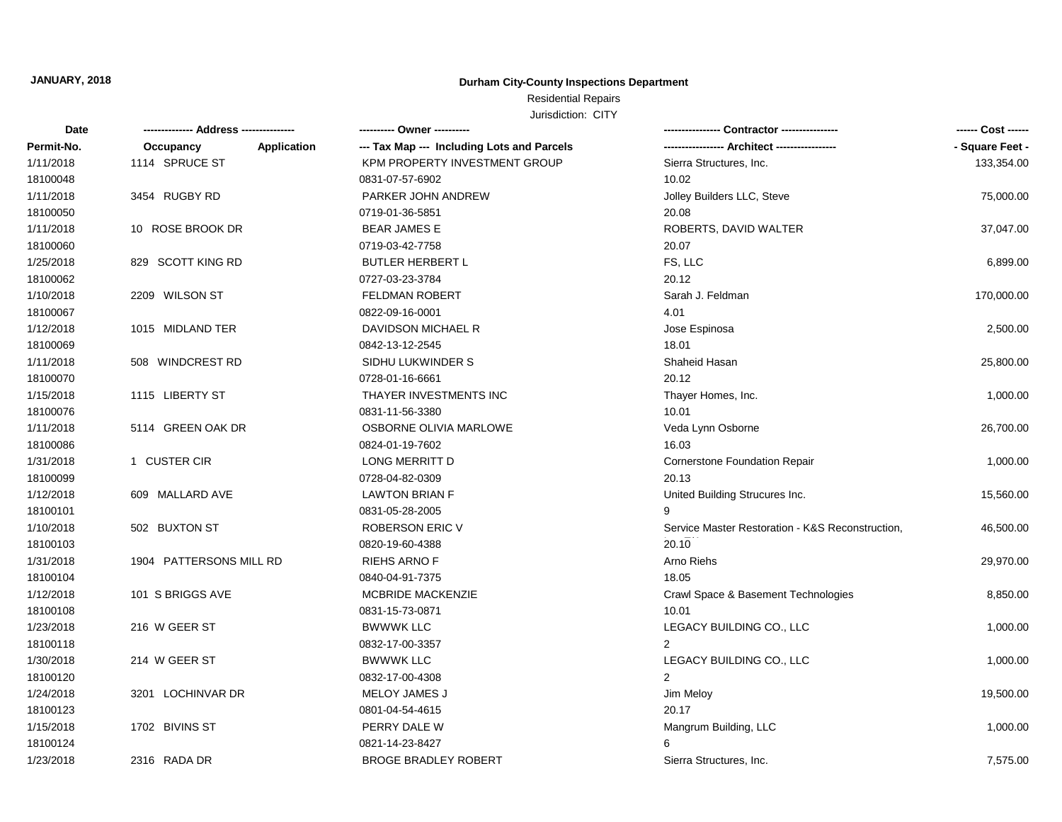## **Durham City-County Inspections Department**

## Residential Repairs

| Date       |                         | ---------- Owner ----------                               |                                                  | ------ Cost ------ |
|------------|-------------------------|-----------------------------------------------------------|--------------------------------------------------|--------------------|
| Permit-No. | Occupancy               | Application<br>--- Tax Map --- Including Lots and Parcels |                                                  | - Square Feet -    |
| 1/11/2018  | 1114 SPRUCE ST          | KPM PROPERTY INVESTMENT GROUP                             | Sierra Structures, Inc.                          | 133,354.00         |
| 18100048   |                         | 0831-07-57-6902                                           | 10.02                                            |                    |
| 1/11/2018  | 3454 RUGBY RD           | PARKER JOHN ANDREW                                        | Jolley Builders LLC, Steve                       | 75,000.00          |
| 18100050   |                         | 0719-01-36-5851                                           | 20.08                                            |                    |
| 1/11/2018  | 10 ROSE BROOK DR        | <b>BEAR JAMES E</b>                                       | ROBERTS, DAVID WALTER                            | 37,047.00          |
| 18100060   |                         | 0719-03-42-7758                                           | 20.07                                            |                    |
| 1/25/2018  | 829 SCOTT KING RD       | <b>BUTLER HERBERT L</b>                                   | FS, LLC                                          | 6,899.00           |
| 18100062   |                         | 0727-03-23-3784                                           | 20.12                                            |                    |
| 1/10/2018  | 2209 WILSON ST          | <b>FELDMAN ROBERT</b>                                     | Sarah J. Feldman                                 | 170,000.00         |
| 18100067   |                         | 0822-09-16-0001                                           | 4.01                                             |                    |
| 1/12/2018  | 1015 MIDLAND TER        | DAVIDSON MICHAEL R                                        | Jose Espinosa                                    | 2,500.00           |
| 18100069   |                         | 0842-13-12-2545                                           | 18.01                                            |                    |
| 1/11/2018  | 508 WINDCREST RD        | SIDHU LUKWINDER S                                         | Shaheid Hasan                                    | 25,800.00          |
| 18100070   |                         | 0728-01-16-6661                                           | 20.12                                            |                    |
| 1/15/2018  | 1115 LIBERTY ST         | THAYER INVESTMENTS INC                                    | Thayer Homes, Inc.                               | 1,000.00           |
| 18100076   |                         | 0831-11-56-3380                                           | 10.01                                            |                    |
| 1/11/2018  | 5114 GREEN OAK DR       | OSBORNE OLIVIA MARLOWE                                    | Veda Lynn Osborne                                | 26,700.00          |
| 18100086   |                         | 0824-01-19-7602                                           | 16.03                                            |                    |
| 1/31/2018  | 1 CUSTER CIR            | LONG MERRITT D                                            | Cornerstone Foundation Repair                    | 1,000.00           |
| 18100099   |                         | 0728-04-82-0309                                           | 20.13                                            |                    |
| 1/12/2018  | 609 MALLARD AVE         | <b>LAWTON BRIAN F</b>                                     | United Building Strucures Inc.                   | 15,560.00          |
| 18100101   |                         | 0831-05-28-2005                                           |                                                  |                    |
| 1/10/2018  | 502 BUXTON ST           | <b>ROBERSON ERIC V</b>                                    | Service Master Restoration - K&S Reconstruction, | 46,500.00          |
| 18100103   |                         | 0820-19-60-4388                                           | 20.10                                            |                    |
| 1/31/2018  | 1904 PATTERSONS MILL RD | <b>RIEHS ARNO F</b>                                       | Arno Riehs                                       | 29,970.00          |
| 18100104   |                         | 0840-04-91-7375                                           | 18.05                                            |                    |
| 1/12/2018  | 101 S BRIGGS AVE        | MCBRIDE MACKENZIE                                         | Crawl Space & Basement Technologies              | 8,850.00           |
| 18100108   |                         | 0831-15-73-0871                                           | 10.01                                            |                    |
| 1/23/2018  | 216 W GEER ST           | <b>BWWWK LLC</b>                                          | LEGACY BUILDING CO., LLC                         | 1,000.00           |
| 18100118   |                         | 0832-17-00-3357                                           | $\overline{2}$                                   |                    |
| 1/30/2018  | 214 W GEER ST           | <b>BWWWK LLC</b>                                          | LEGACY BUILDING CO., LLC                         | 1,000.00           |
| 18100120   |                         | 0832-17-00-4308                                           | $\overline{2}$                                   |                    |
| 1/24/2018  | 3201 LOCHINVAR DR       | MELOY JAMES J                                             | Jim Meloy                                        | 19,500.00          |
| 18100123   |                         | 0801-04-54-4615                                           | 20.17                                            |                    |
| 1/15/2018  | 1702 BIVINS ST          | PERRY DALE W                                              | Mangrum Building, LLC                            | 1,000.00           |
| 18100124   |                         | 0821-14-23-8427                                           | 6                                                |                    |
| 1/23/2018  | 2316 RADA DR            | <b>BROGE BRADLEY ROBERT</b>                               | Sierra Structures, Inc.                          | 7,575.00           |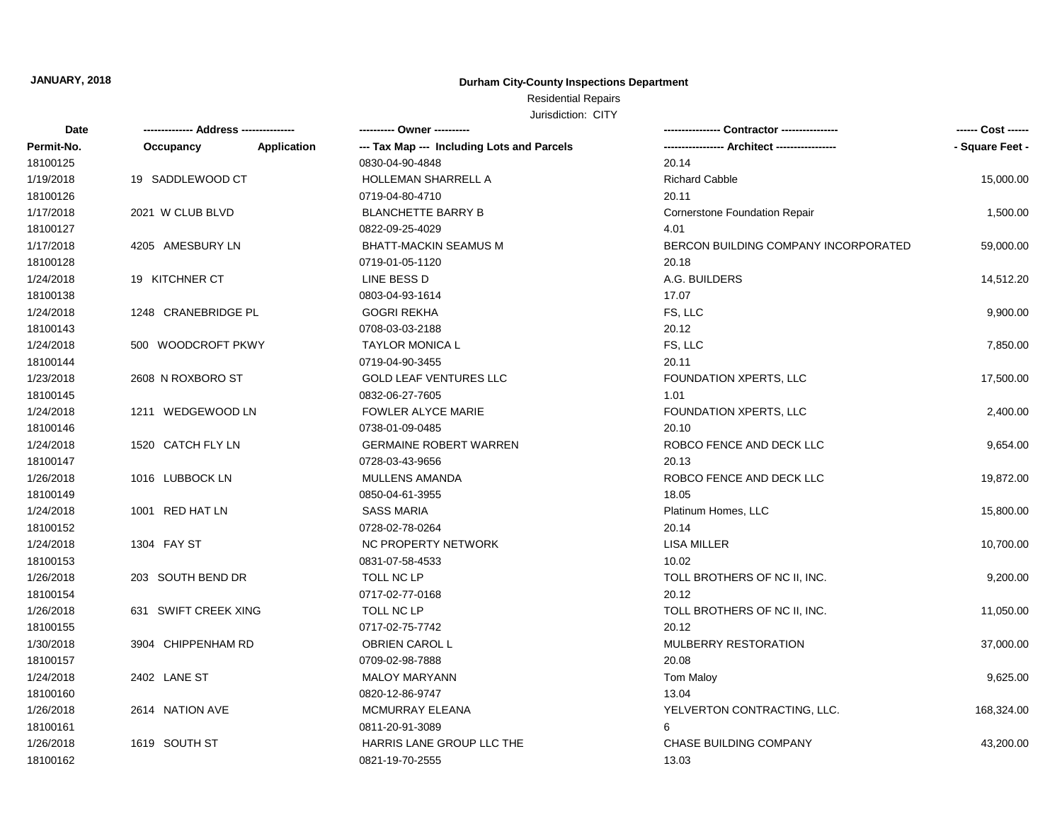## **Durham City-County Inspections Department**

## Residential Repairs

| Date       |                      |                    | --------- Owner ---------                  |                                      | ------ Cost ------ |
|------------|----------------------|--------------------|--------------------------------------------|--------------------------------------|--------------------|
| Permit-No. | Occupancy            | <b>Application</b> | --- Tax Map --- Including Lots and Parcels |                                      | - Square Feet -    |
| 18100125   |                      |                    | 0830-04-90-4848                            | 20.14                                |                    |
| 1/19/2018  | 19 SADDLEWOOD CT     |                    | <b>HOLLEMAN SHARRELL A</b>                 | <b>Richard Cabble</b>                | 15,000.00          |
| 18100126   |                      |                    | 0719-04-80-4710                            | 20.11                                |                    |
| 1/17/2018  | 2021 W CLUB BLVD     |                    | <b>BLANCHETTE BARRY B</b>                  | <b>Cornerstone Foundation Repair</b> | 1,500.00           |
| 18100127   |                      |                    | 0822-09-25-4029                            | 4.01                                 |                    |
| 1/17/2018  | 4205 AMESBURY LN     |                    | <b>BHATT-MACKIN SEAMUS M</b>               | BERCON BUILDING COMPANY INCORPORATED | 59,000.00          |
| 18100128   |                      |                    | 0719-01-05-1120                            | 20.18                                |                    |
| 1/24/2018  | 19 KITCHNER CT       |                    | LINE BESS D                                | A.G. BUILDERS                        | 14,512.20          |
| 18100138   |                      |                    | 0803-04-93-1614                            | 17.07                                |                    |
| 1/24/2018  | 1248 CRANEBRIDGE PL  |                    | <b>GOGRI REKHA</b>                         | FS, LLC                              | 9,900.00           |
| 18100143   |                      |                    | 0708-03-03-2188                            | 20.12                                |                    |
| 1/24/2018  | 500 WOODCROFT PKWY   |                    | <b>TAYLOR MONICA L</b>                     | FS, LLC                              | 7,850.00           |
| 18100144   |                      |                    | 0719-04-90-3455                            | 20.11                                |                    |
| 1/23/2018  | 2608 N ROXBORO ST    |                    | <b>GOLD LEAF VENTURES LLC</b>              | FOUNDATION XPERTS, LLC               | 17,500.00          |
| 18100145   |                      |                    | 0832-06-27-7605                            | 1.01                                 |                    |
| 1/24/2018  | 1211 WEDGEWOOD LN    |                    | <b>FOWLER ALYCE MARIE</b>                  | FOUNDATION XPERTS, LLC               | 2,400.00           |
| 18100146   |                      |                    | 0738-01-09-0485                            | 20.10                                |                    |
| 1/24/2018  | 1520 CATCH FLY LN    |                    | <b>GERMAINE ROBERT WARREN</b>              | ROBCO FENCE AND DECK LLC             | 9,654.00           |
| 18100147   |                      |                    | 0728-03-43-9656                            | 20.13                                |                    |
| 1/26/2018  | 1016 LUBBOCK LN      |                    | MULLENS AMANDA                             | ROBCO FENCE AND DECK LLC             | 19,872.00          |
| 18100149   |                      |                    | 0850-04-61-3955                            | 18.05                                |                    |
| 1/24/2018  | 1001 RED HAT LN      |                    | <b>SASS MARIA</b>                          | Platinum Homes, LLC                  | 15,800.00          |
| 18100152   |                      |                    | 0728-02-78-0264                            | 20.14                                |                    |
| 1/24/2018  | 1304 FAY ST          |                    | <b>NC PROPERTY NETWORK</b>                 | <b>LISA MILLER</b>                   | 10,700.00          |
| 18100153   |                      |                    | 0831-07-58-4533                            | 10.02                                |                    |
| 1/26/2018  | 203 SOUTH BEND DR    |                    | TOLL NC LP                                 | TOLL BROTHERS OF NC II, INC.         | 9,200.00           |
| 18100154   |                      |                    | 0717-02-77-0168                            | 20.12                                |                    |
| 1/26/2018  | 631 SWIFT CREEK XING |                    | <b>TOLL NC LP</b>                          | TOLL BROTHERS OF NC II, INC.         | 11,050.00          |
| 18100155   |                      |                    | 0717-02-75-7742                            | 20.12                                |                    |
| 1/30/2018  | 3904 CHIPPENHAM RD   |                    | OBRIEN CAROL L                             | MULBERRY RESTORATION                 | 37,000.00          |
| 18100157   |                      |                    | 0709-02-98-7888                            | 20.08                                |                    |
| 1/24/2018  | 2402 LANE ST         |                    | <b>MALOY MARYANN</b>                       | <b>Tom Maloy</b>                     | 9,625.00           |
| 18100160   |                      |                    | 0820-12-86-9747                            | 13.04                                |                    |
| 1/26/2018  | 2614 NATION AVE      |                    | MCMURRAY ELEANA                            | YELVERTON CONTRACTING, LLC.          | 168,324.00         |
| 18100161   |                      |                    | 0811-20-91-3089                            | 6                                    |                    |
| 1/26/2018  | 1619 SOUTH ST        |                    | HARRIS LANE GROUP LLC THE                  | <b>CHASE BUILDING COMPANY</b>        | 43,200.00          |
| 18100162   |                      |                    | 0821-19-70-2555                            | 13.03                                |                    |